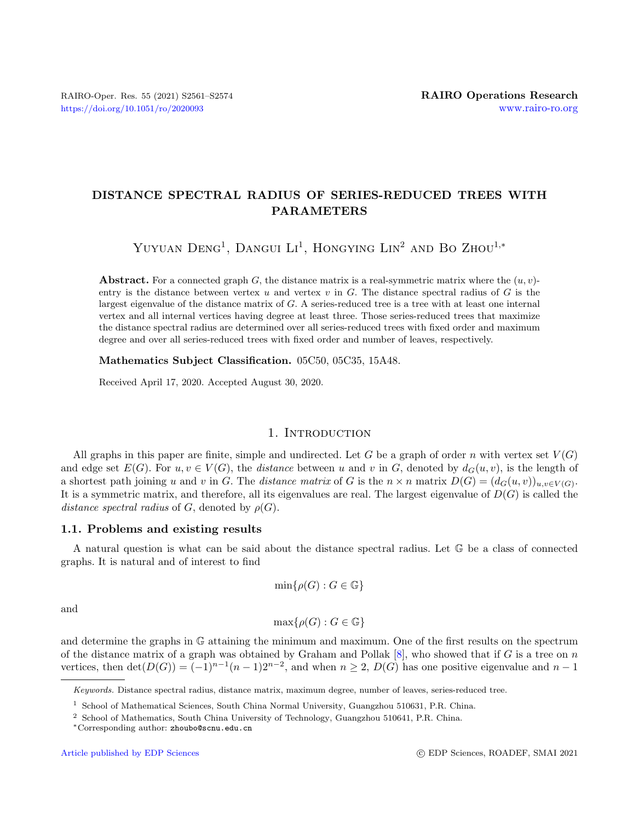# DISTANCE SPECTRAL RADIUS OF SERIES-REDUCED TREES WITH PARAMETERS

Yuyuan  $Deng<sup>1</sup>$ , Dangui Li<sup>1</sup>, Hongying Lin<sup>2</sup> and Bo Zhou<sup>1,\*</sup>

**Abstract.** For a connected graph G, the distance matrix is a real-symmetric matrix where the  $(u, v)$ entry is the distance between vertex  $u$  and vertex  $v$  in  $G$ . The distance spectral radius of  $G$  is the largest eigenvalue of the distance matrix of G. A series-reduced tree is a tree with at least one internal vertex and all internal vertices having degree at least three. Those series-reduced trees that maximize the distance spectral radius are determined over all series-reduced trees with fixed order and maximum degree and over all series-reduced trees with fixed order and number of leaves, respectively.

Mathematics Subject Classification. 05C50, 05C35, 15A48.

Received April 17, 2020. Accepted August 30, 2020.

#### 1. INTRODUCTION

All graphs in this paper are finite, simple and undirected. Let G be a graph of order n with vertex set  $V(G)$ and edge set  $E(G)$ . For  $u, v \in V(G)$ , the distance between u and v in G, denoted by  $d_G(u, v)$ , is the length of a shortest path joining u and v in G. The distance matrix of G is the  $n \times n$  matrix  $D(G) = (d_G(u, v))_{u, v \in V(G)}$ . It is a symmetric matrix, and therefore, all its eigenvalues are real. The largest eigenvalue of  $D(G)$  is called the distance spectral radius of G, denoted by  $\rho(G)$ .

### 1.1. Problems and existing results

A natural question is what can be said about the distance spectral radius. Let G be a class of connected graphs. It is natural and of interest to find

$$
\min\{\rho(G) : G \in \mathbb{G}\}\
$$

and

$$
\max\{\rho(G) : G \in \mathbb{G}\}\
$$

and determine the graphs in G attaining the minimum and maximum. One of the first results on the spectrum of the distance matrix of a graph was obtained by Graham and Pollak  $[8]$ , who showed that if G is a tree on n vertices, then  $\det(D(G)) = (-1)^{n-1}(n-1)2^{n-2}$ , and when  $n \geq 2$ ,  $D(G)$  has one positive eigenvalue and  $n-1$ 

Keywords. Distance spectral radius, distance matrix, maximum degree, number of leaves, series-reduced tree.

<sup>1</sup> School of Mathematical Sciences, South China Normal University, Guangzhou 510631, P.R. China.

<sup>2</sup> School of Mathematics, South China University of Technology, Guangzhou 510641, P.R. China.

<sup>∗</sup>Corresponding author: [zhoubo@scnu.edu.cn](mailto:zhoubo@scnu.edu.cn)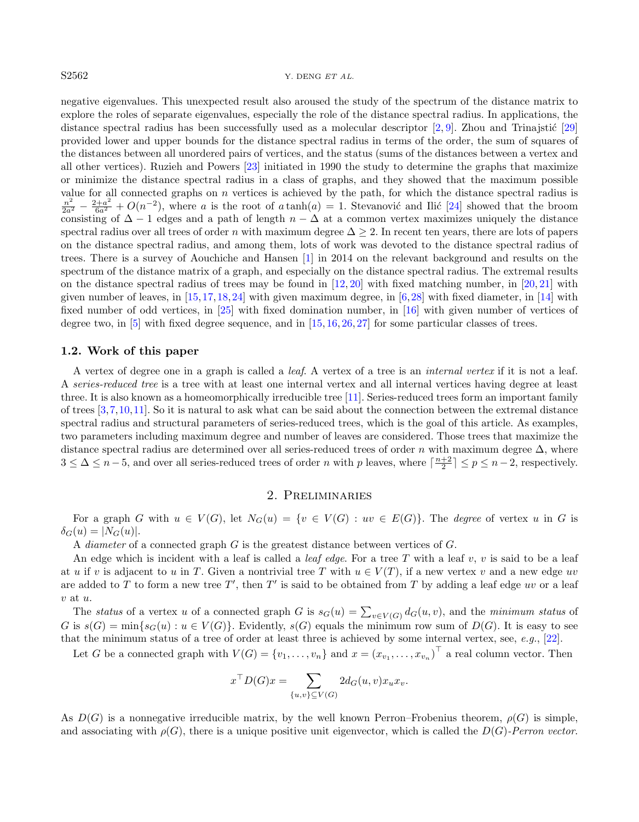#### $S2562$  Y. DENG ET AL.

negative eigenvalues. This unexpected result also aroused the study of the spectrum of the distance matrix to explore the roles of separate eigenvalues, especially the role of the distance spectral radius. In applications, the distance spectral radius has been successfully used as a molecular descriptor  $[2, 9]$  $[2, 9]$  $[2, 9]$ . Zhou and Trinajstić  $[29]$ provided lower and upper bounds for the distance spectral radius in terms of the order, the sum of squares of the distances between all unordered pairs of vertices, and the status (sums of the distances between a vertex and all other vertices). Ruzieh and Powers [\[23\]](#page-13-1) initiated in 1990 the study to determine the graphs that maximize or minimize the distance spectral radius in a class of graphs, and they showed that the maximum possible value for all connected graphs on  $n$  vertices is achieved by the path, for which the distance spectral radius is  $\frac{n^2}{2a^2} - \frac{2+a^2}{6a^2} + O(n^{-2})$ , where a is the root of a tanh(a) = 1. Stevanović and Ilić [\[24\]](#page-13-2) showed that the broom consisting of  $\Delta - 1$  edges and a path of length  $n - \Delta$  at a common vertex maximizes uniquely the distance spectral radius over all trees of order n with maximum degree  $\Delta > 2$ . In recent ten years, there are lots of papers on the distance spectral radius, and among them, lots of work was devoted to the distance spectral radius of trees. There is a survey of Aouchiche and Hansen [\[1\]](#page-12-3) in 2014 on the relevant background and results on the spectrum of the distance matrix of a graph, and especially on the distance spectral radius. The extremal results on the distance spectral radius of trees may be found in [\[12,](#page-12-4) [20\]](#page-13-3) with fixed matching number, in [\[20,](#page-13-3) [21\]](#page-13-4) with given number of leaves, in  $[15,17,18,24]$  $[15,17,18,24]$  $[15,17,18,24]$  $[15,17,18,24]$  with given maximum degree, in  $[6,28]$  $[6,28]$  with fixed diameter, in  $[14]$  with fixed number of odd vertices, in [\[25\]](#page-13-9) with fixed domination number, in [\[16\]](#page-13-10) with given number of vertices of degree two, in [\[5\]](#page-12-7) with fixed degree sequence, and in [\[15,](#page-13-5) [16,](#page-13-10) [26,](#page-13-11) [27\]](#page-13-12) for some particular classes of trees.

#### 1.2. Work of this paper

A vertex of degree one in a graph is called a leaf. A vertex of a tree is an internal vertex if it is not a leaf. A series-reduced tree is a tree with at least one internal vertex and all internal vertices having degree at least three. It is also known as a homeomorphically irreducible tree [\[11\]](#page-12-8). Series-reduced trees form an important family of trees [\[3,](#page-12-9)[7,](#page-12-10)[10,](#page-12-11)[11\]](#page-12-8). So it is natural to ask what can be said about the connection between the extremal distance spectral radius and structural parameters of series-reduced trees, which is the goal of this article. As examples, two parameters including maximum degree and number of leaves are considered. Those trees that maximize the distance spectral radius are determined over all series-reduced trees of order n with maximum degree  $\Delta$ , where  $3 \leq \Delta \leq n-5$ , and over all series-reduced trees of order n with p leaves, where  $\lceil \frac{n+2}{2} \rceil \leq p \leq n-2$ , respectively.

### 2. Preliminaries

For a graph G with  $u \in V(G)$ , let  $N_G(u) = \{v \in V(G) : uv \in E(G)\}\)$ . The degree of vertex u in G is  $\delta_G(u) = |N_G(u)|.$ 

A diameter of a connected graph G is the greatest distance between vertices of G.

An edge which is incident with a leaf is called a *leaf edge*. For a tree T with a leaf v, v is said to be a leaf at u if v is adjacent to u in T. Given a nontrivial tree T with  $u \in V(T)$ , if a new vertex v and a new edge uv are added to T to form a new tree T', then T' is said to be obtained from T by adding a leaf edge uv or a leaf v at u.

The status of a vertex u of a connected graph G is  $s_G(u) = \sum_{v \in V(G)} d_G(u, v)$ , and the minimum status of G is  $s(G) = \min\{s_G(u) : u \in V(G)\}\$ . Evidently,  $s(G)$  equals the minimum row sum of  $D(G)$ . It is easy to see that the minimum status of a tree of order at least three is achieved by some internal vertex, see, e.g., [\[22\]](#page-13-13).

Let G be a connected graph with  $V(G) = \{v_1, \ldots, v_n\}$  and  $x = (x_{v_1}, \ldots, x_{v_n})^\top$  a real column vector. Then

$$
x^{\top}D(G)x = \sum_{\{u,v\} \subseteq V(G)} 2d_G(u,v)x_u x_v.
$$

As  $D(G)$  is a nonnegative irreducible matrix, by the well known Perron–Frobenius theorem,  $\rho(G)$  is simple. and associating with  $\rho(G)$ , there is a unique positive unit eigenvector, which is called the  $D(G)$ -Perron vector.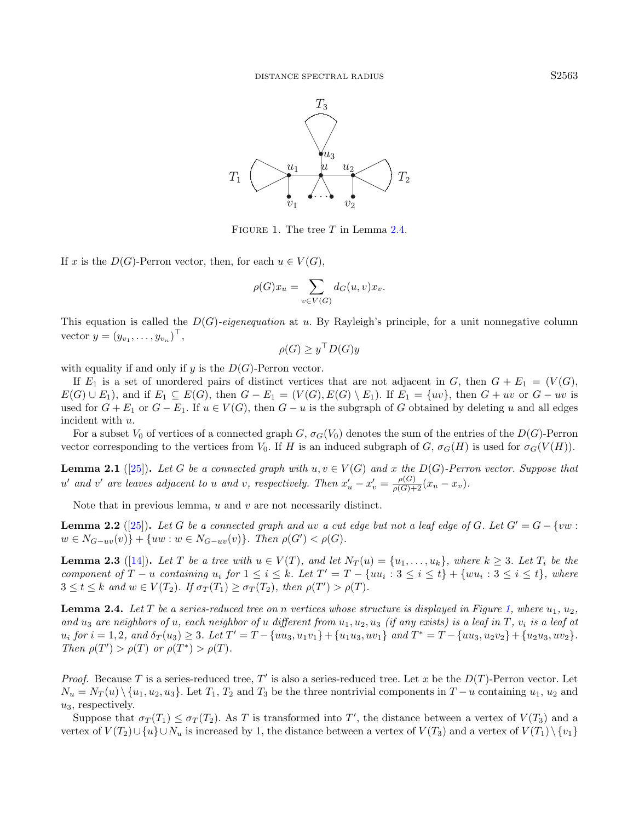<span id="page-2-1"></span>

FIGURE 1. The tree  $T$  in Lemma [2.4.](#page-2-0)

If x is the  $D(G)$ -Perron vector, then, for each  $u \in V(G)$ ,

$$
\rho(G)x_u = \sum_{v \in V(G)} d_G(u, v)x_v.
$$

This equation is called the  $D(G)$ -eigenequation at u. By Rayleigh's principle, for a unit nonnegative column vector  $y = (y_{v_1}, \ldots, y_{v_n})^\top$ ,

<span id="page-2-4"></span>
$$
\rho(G) \ge y^\top D(G) y
$$

with equality if and only if y is the  $D(G)$ -Perron vector.

If  $E_1$  is a set of unordered pairs of distinct vertices that are not adjacent in G, then  $G + E_1 = (V(G),$  $E(G) \cup E_1$ , and if  $E_1 \subseteq E(G)$ , then  $G - E_1 = (V(G), E(G) \setminus E_1)$ . If  $E_1 = \{uv\}$ , then  $G + uv$  or  $G - uv$  is used for  $G + E_1$  or  $G - E_1$ . If  $u \in V(G)$ , then  $G - u$  is the subgraph of G obtained by deleting u and all edges incident with u.

For a subset  $V_0$  of vertices of a connected graph  $G$ ,  $\sigma_G(V_0)$  denotes the sum of the entries of the  $D(G)$ -Perron vector corresponding to the vertices from  $V_0$ . If H is an induced subgraph of G,  $\sigma_G(H)$  is used for  $\sigma_G(V(H))$ .

<span id="page-2-2"></span>**Lemma 2.1** ([\[25\]](#page-13-9)). Let G be a connected graph with  $u, v \in V(G)$  and x the D(G)-Perron vector. Suppose that u' and v' are leaves adjacent to u and v, respectively. Then  $x'_u - x'_v = \frac{\rho(G)}{\rho(G)+2}(x_u - x_v)$ .

Note that in previous lemma,  $u$  and  $v$  are not necessarily distinct.

**Lemma 2.2** ([\[25\]](#page-13-9)). Let G be a connected graph and uv a cut edge but not a leaf edge of G. Let  $G' = G - \{vw :$  $w \in N_{G-uv}(v) \} + \{uw : w \in N_{G-uv}(v) \}.$  Then  $\rho(G') < \rho(G)$ .

<span id="page-2-3"></span>**Lemma 2.3** ([\[14\]](#page-12-6)). Let T be a tree with  $u \in V(T)$ , and let  $N_T(u) = \{u_1, \ldots, u_k\}$ , where  $k \geq 3$ . Let  $T_i$  be the component of  $T - u$  containing  $u_i$  for  $1 \leq i \leq k$ . Let  $T' = T - \{uu_i : 3 \leq i \leq t\} + \{wu_i : 3 \leq i \leq t\}$ , where  $3 \leq t \leq k$  and  $w \in V(T_2)$ . If  $\sigma_T(T_1) \geq \sigma_T(T_2)$ , then  $\rho(T') > \rho(T)$ .

<span id="page-2-0"></span>**Lemma 2.4.** Let T be a series-reduced tree on n vertices whose structure is displayed in Figure [1,](#page-2-1) where  $u_1, u_2$ , and u<sub>3</sub> are neighbors of u, each neighbor of u different from  $u_1, u_2, u_3$  (if any exists) is a leaf in T,  $v_i$  is a leaf at  $u_i$  for  $i = 1, 2$ , and  $\delta_T(u_3) \geq 3$ . Let  $T' = T - \{uu_3, u_1v_1\} + \{u_1u_3, uv_1\}$  and  $T^* = T - \{uu_3, u_2v_2\} + \{u_2u_3, uv_2\}$ . Then  $\rho(T') > \rho(T)$  or  $\rho(T^*) > \rho(T)$ .

*Proof.* Because T is a series-reduced tree, T' is also a series-reduced tree. Let x be the  $D(T)$ -Perron vector. Let  $N_u = N_T(u) \setminus \{u_1, u_2, u_3\}.$  Let  $T_1, T_2$  and  $T_3$  be the three nontrivial components in  $T - u$  containing  $u_1, u_2$  and  $u_3$ , respectively.

Suppose that  $\sigma_T(T_1) \leq \sigma_T(T_2)$ . As T is transformed into T', the distance between a vertex of  $V(T_3)$  and a vertex of  $V(T_2) \cup \{u\} \cup N_u$  is increased by 1, the distance between a vertex of  $V(T_3)$  and a vertex of  $V(T_1) \setminus \{v_1\}$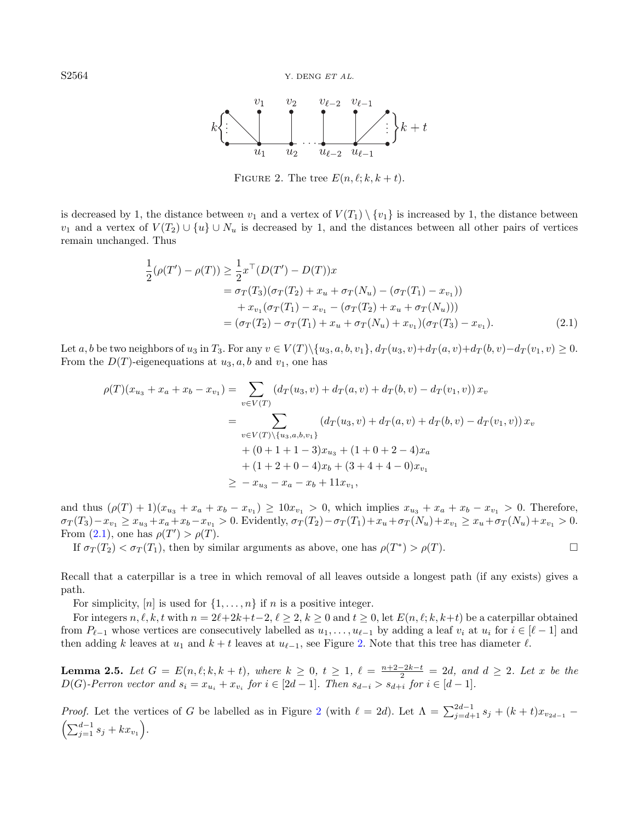<span id="page-3-1"></span>

<span id="page-3-0"></span>FIGURE 2. The tree  $E(n, \ell; k, k + t)$ .

is decreased by 1, the distance between  $v_1$  and a vertex of  $V(T_1) \setminus \{v_1\}$  is increased by 1, the distance between  $v_1$  and a vertex of  $V(T_2) \cup \{u\} \cup N_u$  is decreased by 1, and the distances between all other pairs of vertices remain unchanged. Thus

$$
\frac{1}{2}(\rho(T') - \rho(T)) \ge \frac{1}{2}x^{\top}(D(T') - D(T))x
$$
\n
$$
= \sigma_T(T_3)(\sigma_T(T_2) + x_u + \sigma_T(N_u) - (\sigma_T(T_1) - x_{v_1}))
$$
\n
$$
+ x_{v_1}(\sigma_T(T_1) - x_{v_1} - (\sigma_T(T_2) + x_u + \sigma_T(N_u)))
$$
\n
$$
= (\sigma_T(T_2) - \sigma_T(T_1) + x_u + \sigma_T(N_u) + x_{v_1})(\sigma_T(T_3) - x_{v_1}).
$$
\n(2.1)

Let a, b be two neighbors of u<sub>3</sub> in  $T_3$ . For any  $v \in V(T) \setminus \{u_3, a, b, v_1\}, d_T(u_3, v) + d_T(a, v) + d_T(b, v) - d_T(v_1, v) \ge 0$ . From the  $D(T)$ -eigenequations at  $u_3$ ,  $a$ ,  $b$  and  $v_1$ , one has

$$
\rho(T)(x_{u_3} + x_a + x_b - x_{v_1}) = \sum_{v \in V(T)} (d_T(u_3, v) + d_T(a, v) + d_T(b, v) - d_T(v_1, v)) x_v
$$
  
\n
$$
= \sum_{v \in V(T) \setminus \{u_3, a, b, v_1\}} (d_T(u_3, v) + d_T(a, v) + d_T(b, v) - d_T(v_1, v)) x_v
$$
  
\n
$$
+ (0 + 1 + 1 - 3)x_{u_3} + (1 + 0 + 2 - 4)x_a
$$
  
\n
$$
+ (1 + 2 + 0 - 4)x_b + (3 + 4 + 4 - 0)x_{v_1}
$$
  
\n
$$
\ge -x_{u_3} - x_a - x_b + 11x_{v_1},
$$

and thus  $(\rho(T) + 1)(x_{u_3} + x_a + x_b - x_{v_1}) \ge 10x_{v_1} > 0$ , which implies  $x_{u_3} + x_a + x_b - x_{v_1} > 0$ . Therefore,  $\sigma_T(T_3)-x_{v_1} \ge x_{u_3}+x_a+x_b-x_{v_1} > 0.$  Evidently,  $\sigma_T(T_2)-\sigma_T(T_1)+x_u+\sigma_T(N_u)+x_{v_1} \ge x_u+\sigma_T(N_u)+x_{v_1} > 0.$ From [\(2.1\)](#page-3-0), one has  $\rho(T') > \rho(T)$ .

If  $\sigma_T(T_2) < \sigma_T(T_1)$ , then by similar arguments as above, one has  $\rho(T^*) > \rho(T)$ .

Recall that a caterpillar is a tree in which removal of all leaves outside a longest path (if any exists) gives a path.

For simplicity,  $[n]$  is used for  $\{1, \ldots, n\}$  if n is a positive integer.

For integers  $n, \ell, k, t$  with  $n = 2\ell+2k+t-2, \ell \geq 2, k \geq 0$  and  $t \geq 0$ , let  $E(n, \ell; k, k+t)$  be a caterpillar obtained from  $P_{\ell-1}$  whose vertices are consecutively labelled as  $u_1, \ldots, u_{\ell-1}$  by adding a leaf  $v_i$  at  $u_i$  for  $i \in [\ell - 1]$  and then adding k leaves at  $u_1$  and  $k + t$  leaves at  $u_{\ell-1}$ , see Figure [2.](#page-3-1) Note that this tree has diameter  $\ell$ .

<span id="page-3-2"></span>**Lemma 2.5.** Let  $G = E(n, \ell; k, k + t)$ , where  $k \ge 0$ ,  $t \ge 1$ ,  $\ell = \frac{n+2-2k-t}{2} = 2d$ , and  $d \ge 2$ . Let x be the  $D(G)$ -Perron vector and  $s_i = x_{u_i} + x_{v_i}$  for  $i \in [2d-1]$ . Then  $s_{d-i} > s_{d+i}$  for  $i \in [d-1]$ .

*Proof.* Let the vertices of G be labelled as in Figure [2](#page-3-1) (with  $\ell = 2d$ ). Let  $\Lambda = \sum_{j=d+1}^{2d-1} s_j + (k+t)x_{v_{2d-1}} \left(\sum_{j=1}^{d-1} s_j + kx_{v_1}\right).$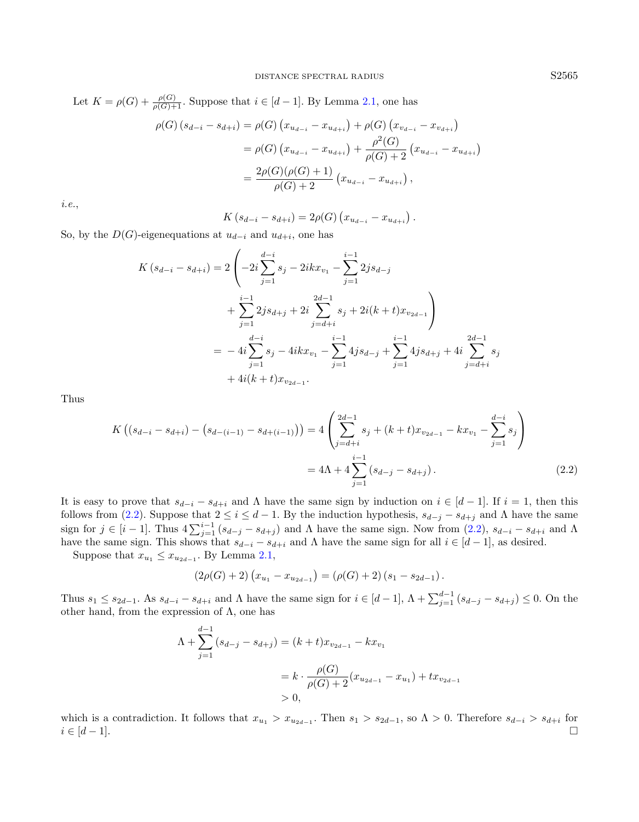Let  $K = \rho(G) + \frac{\rho(G)}{\rho(G)+1}$ . Suppose that  $i \in [d-1]$ . By Lemma [2.1,](#page-2-2) one has

$$
\rho(G) (s_{d-i} - s_{d+i}) = \rho(G) (x_{u_{d-i}} - x_{u_{d+i}}) + \rho(G) (x_{v_{d-i}} - x_{v_{d+i}})
$$
  
=  $\rho(G) (x_{u_{d-i}} - x_{u_{d+i}}) + \frac{\rho^2(G)}{\rho(G) + 2} (x_{u_{d-i}} - x_{u_{d+i}})$   
=  $\frac{2\rho(G)(\rho(G) + 1)}{\rho(G) + 2} (x_{u_{d-i}} - x_{u_{d+i}}),$ 

i.e.,

<span id="page-4-0"></span>
$$
K(s_{d-i} - s_{d+i}) = 2\rho(G) (x_{u_{d-i}} - x_{u_{d+i}}).
$$

So, by the  $D(G)$ -eigenequations at  $u_{d-i}$  and  $u_{d+i}$ , one has

$$
K(s_{d-i} - s_{d+i}) = 2\left(-2i\sum_{j=1}^{d-i} s_j - 2ikx_{v_1} - \sum_{j=1}^{i-1} 2js_{d-j} + \sum_{j=1}^{i-1} 2js_{d+j} + 2i\sum_{j=d+i}^{2d-1} s_j + 2i(k+t)x_{v_{2d-1}}\right)
$$
  

$$
= -4i\sum_{j=1}^{d-i} s_j - 4ikx_{v_1} - \sum_{j=1}^{i-1} 4js_{d-j} + \sum_{j=1}^{i-1} 4js_{d+j} + 4i\sum_{j=d+i}^{2d-1} s_j + 4i(k+t)x_{v_{2d-1}}.
$$

Thus

$$
K\left((s_{d-i} - s_{d+i}) - (s_{d-(i-1)} - s_{d+(i-1)})\right) = 4\left(\sum_{j=d+i}^{2d-1} s_j + (k+t)x_{v_{2d-1}} - kx_{v_1} - \sum_{j=1}^{d-i} s_j\right)
$$

$$
= 4\Lambda + 4\sum_{j=1}^{i-1} (s_{d-j} - s_{d+j}).\tag{2.2}
$$

It is easy to prove that  $s_{d-i} - s_{d+i}$  and  $\Lambda$  have the same sign by induction on  $i \in [d-1]$ . If  $i = 1$ , then this follows from [\(2.2\)](#page-4-0). Suppose that  $2 \le i \le d-1$ . By the induction hypothesis,  $s_{d-j} - s_{d+j}$  and  $\Lambda$  have the same sign for  $j \in [i-1]$ . Thus  $4\sum_{j=1}^{i-1} (s_{d-j} - s_{d+j})$  and  $\Lambda$  have the same sign. Now from  $(2.2)$ ,  $s_{d-i} - s_{d+i}$  and  $\Lambda$ have the same sign. This shows that  $s_{d-i} - s_{d+i}$  and  $\Lambda$  have the same sign for all  $i \in [d-1]$ , as desired.

Suppose that  $x_{u_1} \leq x_{u_{2d-1}}$ . By Lemma [2.1,](#page-2-2)

$$
(2\rho(G)+2)\left(x_{u_1}-x_{u_{2d-1}}\right)=(\rho(G)+2)(s_1-s_{2d-1}).
$$

Thus  $s_1 \leq s_{2d-1}$ . As  $s_{d-i} - s_{d+i}$  and  $\Lambda$  have the same sign for  $i \in [d-1]$ ,  $\Lambda + \sum_{j=1}^{d-1} (s_{d-j} - s_{d+j}) \leq 0$ . On the other hand, from the expression of  $\Lambda$ , one has

$$
\Lambda + \sum_{j=1}^{d-1} (s_{d-j} - s_{d+j}) = (k+t)x_{v_{2d-1}} - kx_{v_1}
$$
  
=  $k \cdot \frac{\rho(G)}{\rho(G) + 2} (x_{u_{2d-1}} - x_{u_1}) + tx_{v_{2d-1}}$   
> 0,

which is a contradiction. It follows that  $x_{u_1} > x_{u_{2d-1}}$ . Then  $s_1 > s_{2d-1}$ , so  $\Lambda > 0$ . Therefore  $s_{d-i} > s_{d+i}$  for  $i \in [d-1].$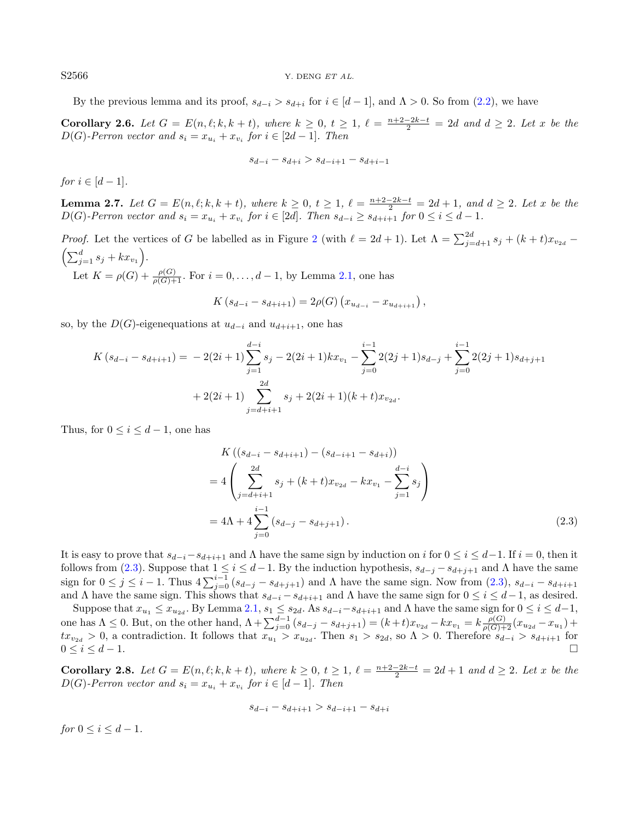S2566 Y. DENG ET AL.

By the previous lemma and its proof,  $s_{d-i} > s_{d+i}$  for  $i \in [d-1]$ , and  $\Lambda > 0$ . So from [\(2.2\)](#page-4-0), we have

<span id="page-5-1"></span>**Corollary 2.6.** Let  $G = E(n, \ell; k, k+t)$ , where  $k \geq 0$ ,  $t \geq 1$ ,  $\ell = \frac{n+2-2k-t}{2} = 2d$  and  $d \geq 2$ . Let x be the  $D(G)$ -Perron vector and  $s_i = x_{u_i} + x_{v_i}$  for  $i \in [2d-1]$ . Then

$$
s_{d-i} - s_{d+i} > s_{d-i+1} - s_{d+i-1}
$$

for  $i \in [d-1]$ .

<span id="page-5-3"></span>**Lemma 2.7.** Let  $G = E(n, \ell; k, k + t)$ , where  $k \ge 0$ ,  $t \ge 1$ ,  $\ell = \frac{n+2-2k-t}{2} = 2d + 1$ , and  $d \ge 2$ . Let x be the D(G)-Perron vector and  $s_i = x_{u_i} + x_{v_i}$  for  $i \in [2d]$ . Then  $s_{d-i} \geq s_{d+i+1}$  for  $0 \leq i \leq d-1$ .

*Proof.* Let the vertices of G be labelled as in Figure [2](#page-3-1) (with  $\ell = 2d + 1$ ). Let  $\Lambda = \sum_{j=d+1}^{2d} s_j + (k+t)x_{v_{2d}} \left(\sum_{j=1}^{d} s_j + kx_{v_1}\right).$ Let  $K = \rho(G) + \frac{\rho(G)}{\rho(G)+1}$ . For  $i = 0, ..., d-1$ , by Lemma [2.1,](#page-2-2) one has

$$
K(s_{d-i} - s_{d+i+1}) = 2\rho(G) (x_{u_{d-i}} - x_{u_{d+i+1}}),
$$

so, by the  $D(G)$ -eigenequations at  $u_{d-i}$  and  $u_{d+i+1}$ , one has

$$
K(s_{d-i} - s_{d+i+1}) = -2(2i+1)\sum_{j=1}^{d-i} s_j - 2(2i+1)kx_{v_1} - \sum_{j=0}^{i-1} 2(2j+1)s_{d-j} + \sum_{j=0}^{i-1} 2(2j+1)s_{d+j+1}
$$
  
+ 2(2i+1) 
$$
\sum_{j=d+i+1}^{2d} s_j + 2(2i+1)(k+t)x_{v_{2d}}.
$$

Thus, for  $0 \leq i \leq d-1$ , one has

<span id="page-5-0"></span>
$$
K\left((s_{d-i} - s_{d+i+1}) - (s_{d-i+1} - s_{d+i})\right)
$$
  
= 
$$
4\left(\sum_{j=d+i+1}^{2d} s_j + (k+t)x_{v_{2d}} - kx_{v_1} - \sum_{j=1}^{d-i} s_j\right)
$$
  
= 
$$
4\Lambda + 4\sum_{j=0}^{i-1} (s_{d-j} - s_{d+j+1}).
$$
 (2.3)

It is easy to prove that  $s_{d-i}-s_{d+i+1}$  and  $\Lambda$  have the same sign by induction on i for  $0 \le i \le d-1$ . If  $i=0$ , then it follows from [\(2.3\)](#page-5-0). Suppose that  $1 \le i \le d-1$ . By the induction hypothesis,  $s_{d-j} - s_{d+j+1}$  and  $\Lambda$  have the same sign for  $0 \leq j \leq i-1$ . Thus  $4\sum_{j=0}^{i-1} (s_{d-j} - s_{d+j+1})$  and  $\Lambda$  have the same sign. Now from  $(2.3)$ ,  $s_{d-i} - s_{d+i+1}$ and Λ have the same sign. This shows that  $s_{d-i} - s_{d+i+1}$  and Λ have the same sign for  $0 \le i \le d-1$ , as desired.

Suppose that  $x_{u_1} \le x_{u_{2d}}$ . By Lemma [2.1,](#page-2-2)  $s_1 \le s_{2d}$ . As  $s_{d-i}-s_{d+i+1}$  and  $\Lambda$  have the same sign for  $0 \le i \le d-1$ , one has  $\Lambda \leq 0$ . But, on the other hand,  $\Lambda + \sum_{j=0}^{d-1} (s_{d-j} - s_{d+j+1}) = (k+t)x_{v_{2d}} - kx_{v_1} = k \frac{\rho(G)}{\rho(G)+2} (x_{u_{2d}} - x_{u_1}) +$  $tx_{v_{2d}} > 0$ , a contradiction. It follows that  $x_{u_1} > x_{u_{2d}}$ . Then  $s_1 > s_{2d}$ , so  $\Lambda > 0$ . Therefore  $s_{d-i} > s_{d+i+1}$  for  $0 \leq i \leq d-1$ .

<span id="page-5-2"></span>**Corollary 2.8.** Let  $G = E(n, \ell; k, k + t)$ , where  $k \ge 0$ ,  $t \ge 1$ ,  $\ell = \frac{n+2-2k-t}{2} = 2d + 1$  and  $d \ge 2$ . Let x be the  $D(G)$ -Perron vector and  $s_i = x_{u_i} + x_{v_i}$  for  $i \in [d-1]$ . Then

$$
s_{d-i} - s_{d+i+1} > s_{d-i+1} - s_{d+i}
$$

<span id="page-5-4"></span>for  $0 \le i \le d-1$ .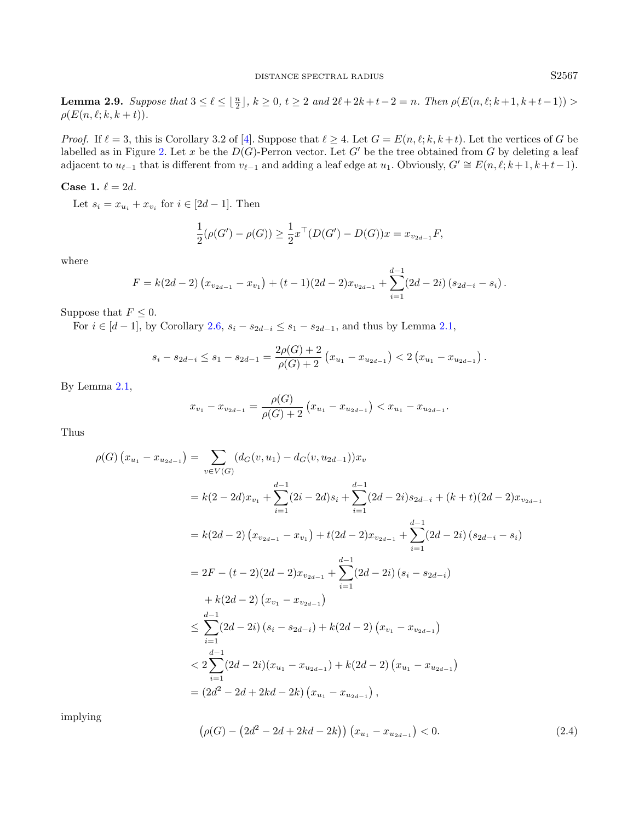**Lemma 2.9.** Suppose that  $3 \leq \ell \leq \lfloor \frac{n}{2} \rfloor$ ,  $k \geq 0$ ,  $t \geq 2$  and  $2\ell + 2k + t - 2 = n$ . Then  $\rho(E(n, \ell; k+1, k+t-1)) >$  $\rho(E(n, \ell; k, k + t)).$ 

*Proof.* If  $\ell = 3$ , this is Corollary 3.2 of [\[4\]](#page-12-12). Suppose that  $\ell \geq 4$ . Let  $G = E(n, \ell; k, k + t)$ . Let the vertices of G be labelled as in Figure [2.](#page-3-1) Let x be the  $D(G)$ -Perron vector. Let G' be the tree obtained from G by deleting a leaf adjacent to  $u_{\ell-1}$  that is different from  $v_{\ell-1}$  and adding a leaf edge at  $u_1$ . Obviously,  $G' \cong E(n, \ell; k+1, k+t-1)$ .

Case 1.  $\ell = 2d$ .

Let  $s_i = x_{u_i} + x_{v_i}$  for  $i \in [2d-1]$ . Then

$$
\frac{1}{2}(\rho(G') - \rho(G)) \ge \frac{1}{2}x^{\top}(D(G') - D(G))x = x_{v_{2d-1}}F,
$$

where

$$
F = k(2d - 2) (x_{v_{2d-1}} - x_{v_1}) + (t - 1)(2d - 2)x_{v_{2d-1}} + \sum_{i=1}^{d-1} (2d - 2i) (s_{2d-i} - s_i).
$$

Suppose that  $F \leq 0$ .

For *i* ∈ [*d* − 1], by Corollary [2.6,](#page-5-1)  $s_i - s_{2d-i} \leq s_1 - s_{2d-1}$ , and thus by Lemma [2.1,](#page-2-2)

$$
s_i - s_{2d-i} \leq s_1 - s_{2d-1} = \frac{2\rho(G) + 2}{\rho(G) + 2} \left( x_{u_1} - x_{u_{2d-1}} \right) < 2 \left( x_{u_1} - x_{u_{2d-1}} \right).
$$

By Lemma [2.1,](#page-2-2)

$$
x_{v_1} - x_{v_{2d-1}} = \frac{\rho(G)}{\rho(G) + 2} \left( x_{u_1} - x_{u_{2d-1}} \right) < x_{u_1} - x_{u_{2d-1}}.
$$

Thus

<span id="page-6-0"></span>
$$
\rho(G) (x_{u_1} - x_{u_{2d-1}}) = \sum_{v \in V(G)} (d_G(v, u_1) - d_G(v, u_{2d-1}))x_v
$$
  
\n
$$
= k(2 - 2d)x_{v_1} + \sum_{i=1}^{d-1} (2i - 2d)s_i + \sum_{i=1}^{d-1} (2d - 2i)s_{2d-i} + (k + t)(2d - 2)x_{v_{2d-1}}
$$
  
\n
$$
= k(2d - 2) (x_{v_{2d-1}} - x_{v_1}) + t(2d - 2)x_{v_{2d-1}} + \sum_{i=1}^{d-1} (2d - 2i) (s_{2d-i} - s_i)
$$
  
\n
$$
= 2F - (t - 2)(2d - 2)x_{v_{2d-1}} + \sum_{i=1}^{d-1} (2d - 2i) (s_i - s_{2d-i})
$$
  
\n
$$
+ k(2d - 2) (x_{v_1} - x_{v_{2d-1}})
$$
  
\n
$$
\leq \sum_{i=1}^{d-1} (2d - 2i) (s_i - s_{2d-i}) + k(2d - 2) (x_{v_1} - x_{v_{2d-1}})
$$
  
\n
$$
< 2\sum_{i=1}^{d-1} (2d - 2i)(x_{u_1} - x_{u_{2d-1}}) + k(2d - 2) (x_{u_1} - x_{u_{2d-1}})
$$
  
\n
$$
= (2d^2 - 2d + 2kd - 2k) (x_{u_1} - x_{u_{2d-1}}),
$$

implying

$$
\left(\rho(G) - \left(2d^2 - 2d + 2kd - 2k\right)\right)\left(x_{u_1} - x_{u_{2d-1}}\right) < 0. \tag{2.4}
$$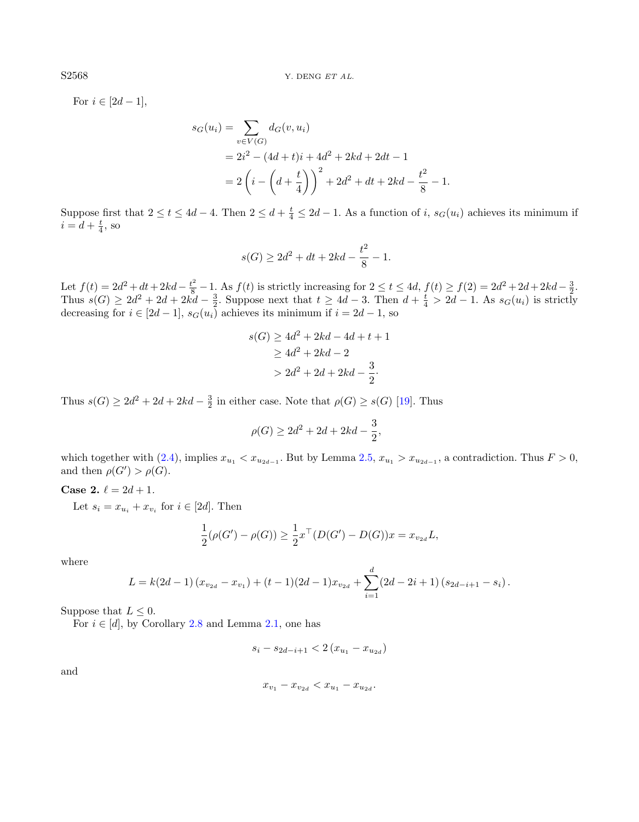For  $i \in [2d-1]$ ,

$$
s_G(u_i) = \sum_{v \in V(G)} d_G(v, u_i)
$$
  
=  $2i^2 - (4d + t)i + 4d^2 + 2kd + 2dt - 1$   
=  $2\left(i - \left(d + \frac{t}{4}\right)\right)^2 + 2d^2 + dt + 2kd - \frac{t^2}{8} - 1$ .

Suppose first that  $2 \le t \le 4d-4$ . Then  $2 \le d+\frac{t}{4} \le 2d-1$ . As a function of i,  $s_G(u_i)$  achieves its minimum if  $i = d + \frac{t}{4}$ , so

$$
s(G) \ge 2d^2 + dt + 2kd - \frac{t^2}{8} - 1.
$$

Let  $f(t) = 2d^2 + dt + 2kd - \frac{t^2}{8} - 1$ . As  $f(t)$  is strictly increasing for  $2 \le t \le 4d$ ,  $f(t) \ge f(2) = 2d^2 + 2d + 2kd - \frac{3}{2}$ . Thus  $s(G) \geq 2d^2 + 2d + 2kd - \frac{3}{2}$ . Suppose next that  $t \geq 4d - 3$ . Then  $d + \frac{t}{4} > 2d - 1$ . As  $s_G(u_i)$  is strictly decreasing for  $i \in [2d-1]$ ,  $s_G(u_i)$  achieves its minimum if  $i = 2d - 1$ , so

$$
s(G) \ge 4d^2 + 2kd - 4d + t + 1
$$

$$
\ge 4d^2 + 2kd - 2
$$

$$
> 2d^2 + 2d + 2kd - \frac{3}{2}.
$$

Thus  $s(G) \ge 2d^2 + 2d + 2kd - \frac{3}{2}$  in either case. Note that  $\rho(G) \ge s(G)$  [\[19\]](#page-13-14). Thus

$$
\rho(G) \ge 2d^2 + 2d + 2kd - \frac{3}{2},
$$

which together with  $(2.4)$ , implies  $x_{u_1} < x_{u_{2d-1}}$ . But by Lemma  $2.5$ ,  $x_{u_1} > x_{u_{2d-1}}$ , a contradiction. Thus  $F > 0$ , and then  $\rho(G') > \rho(G)$ .

**Case 2.**  $\ell = 2d + 1$ .

Let  $s_i = x_{u_i} + x_{v_i}$  for  $i \in [2d]$ . Then

$$
\frac{1}{2}(\rho(G') - \rho(G)) \ge \frac{1}{2}x^{\top}(D(G') - D(G))x = x_{v_{2d}}L,
$$

where

$$
L = k(2d - 1) (x_{v_{2d}} - x_{v_1}) + (t - 1)(2d - 1)x_{v_{2d}} + \sum_{i=1}^d (2d - 2i + 1) (s_{2d - i + 1} - s_i).
$$

Suppose that  $L < 0$ .

For  $i \in [d]$ , by Corollary [2.8](#page-5-2) and Lemma [2.1,](#page-2-2) one has

$$
s_i - s_{2d-i+1} < 2(x_{u_1} - x_{u_{2d}})
$$

and

$$
x_{v_1}-x_{v_{2d}}
$$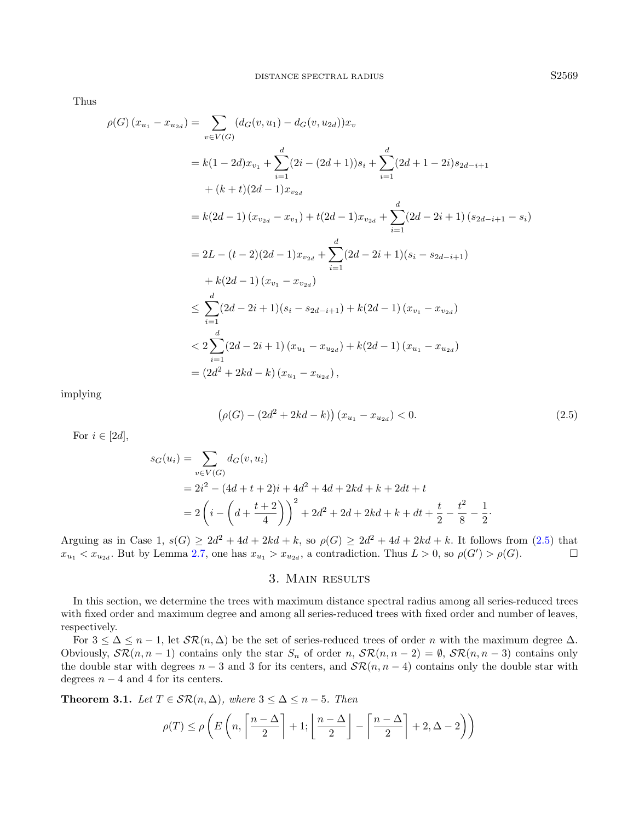Thus

$$
\rho(G) (x_{u_1} - x_{u_{2d}}) = \sum_{v \in V(G)} (d_G(v, u_1) - d_G(v, u_{2d})) x_v
$$
  
\n
$$
= k(1 - 2d)x_{v_1} + \sum_{i=1}^d (2i - (2d + 1))s_i + \sum_{i=1}^d (2d + 1 - 2i)s_{2d - i + 1}
$$
  
\n
$$
+ (k + t)(2d - 1)x_{v_{2d}}
$$
  
\n
$$
= k(2d - 1) (x_{v_{2d}} - x_{v_1}) + t(2d - 1)x_{v_{2d}} + \sum_{i=1}^d (2d - 2i + 1)(s_{2d - i + 1} - s_i)
$$
  
\n
$$
= 2L - (t - 2)(2d - 1)x_{v_{2d}} + \sum_{i=1}^d (2d - 2i + 1)(s_i - s_{2d - i + 1})
$$
  
\n
$$
+ k(2d - 1) (x_{v_1} - x_{v_{2d}})
$$
  
\n
$$
\leq \sum_{i=1}^d (2d - 2i + 1)(s_i - s_{2d - i + 1}) + k(2d - 1) (x_{v_1} - x_{v_{2d}})
$$
  
\n
$$
< 2 \sum_{i=1}^d (2d - 2i + 1) (x_{u_1} - x_{u_{2d}}) + k(2d - 1) (x_{u_1} - x_{u_{2d}})
$$
  
\n
$$
= (2d^2 + 2kd - k) (x_{u_1} - x_{u_{2d}}),
$$

implying

<span id="page-8-0"></span>
$$
\left(\rho(G) - (2d^2 + 2kd - k)\right)(x_{u_1} - x_{u_{2d}}) < 0. \tag{2.5}
$$

For  $i \in [2d]$ ,

$$
s_G(u_i) = \sum_{v \in V(G)} d_G(v, u_i)
$$
  
=  $2i^2 - (4d + t + 2)i + 4d^2 + 4d + 2kd + k + 2dt + t$   
=  $2\left(i - \left(d + \frac{t + 2}{4}\right)\right)^2 + 2d^2 + 2d + 2kd + k + dt + \frac{t}{2} - \frac{t^2}{8} - \frac{1}{2}.$ 

Arguing as in Case 1,  $s(G) \geq 2d^2 + 4d + 2kd + k$ , so  $\rho(G) \geq 2d^2 + 4d + 2kd + k$ . It follows from [\(2.5\)](#page-8-0) that  $x_{u_1} < x_{u_2d}$ . But by Lemma [2.7,](#page-5-3) one has  $x_{u_1} > x_{u_2d}$ , a contradiction. Thus  $L > 0$ , so  $\rho(G') > \rho(G)$ .

# 3. Main results

In this section, we determine the trees with maximum distance spectral radius among all series-reduced trees with fixed order and maximum degree and among all series-reduced trees with fixed order and number of leaves, respectively.

For  $3 \leq \Delta \leq n-1$ , let  $\mathcal{SR}(n, \Delta)$  be the set of series-reduced trees of order n with the maximum degree  $\Delta$ . Obviously,  $\mathcal{SR}(n, n-1)$  contains only the star  $S_n$  of order  $n, \mathcal{SR}(n, n-2) = \emptyset$ ,  $\mathcal{SR}(n, n-3)$  contains only the double star with degrees  $n-3$  and 3 for its centers, and  $\mathcal{SR}(n, n-4)$  contains only the double star with degrees  $n - 4$  and 4 for its centers.

<span id="page-8-1"></span>**Theorem 3.1.** Let  $T \in \mathcal{SR}(n, \Delta)$ , where  $3 \leq \Delta \leq n-5$ . Then

$$
\rho(T) \le \rho\left(E\left(n, \left\lceil \frac{n-\Delta}{2} \right\rceil + 1; \left\lfloor \frac{n-\Delta}{2} \right\rfloor - \left\lceil \frac{n-\Delta}{2} \right\rceil + 2, \Delta - 2\right)\right)
$$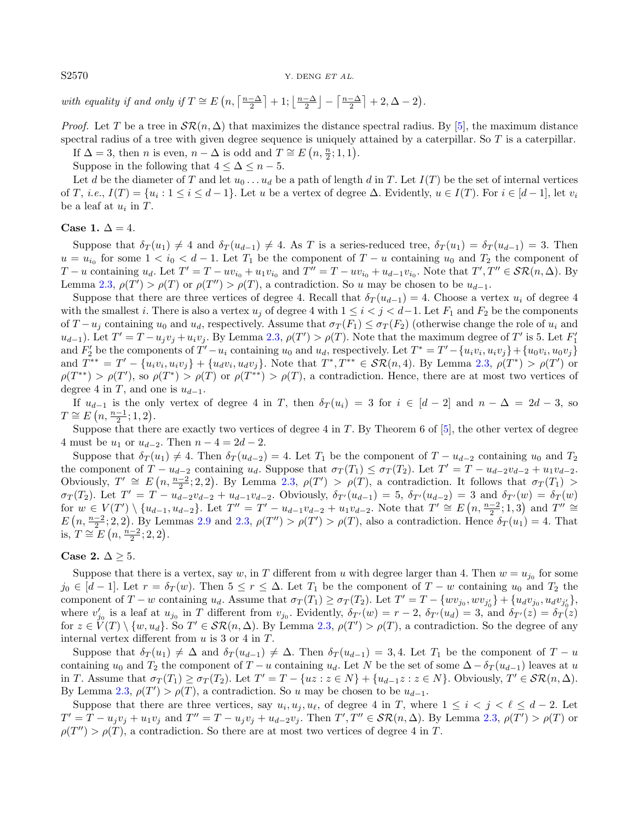S2570 Y. DENG ET AL.

with equality if and only if  $T \cong E\left(n, \left\lceil \frac{n-\Delta}{2} \right\rceil + 1; \left\lfloor \frac{n-\Delta}{2} \right\rfloor - \left\lceil \frac{n-\Delta}{2} \right\rceil + 2, \Delta - 2\right)$ .

*Proof.* Let T be a tree in  $\mathcal{SR}(n, \Delta)$  that maximizes the distance spectral radius. By [\[5\]](#page-12-7), the maximum distance spectral radius of a tree with given degree sequence is uniquely attained by a caterpillar. So  $T$  is a caterpillar.

If  $\Delta = 3$ , then *n* is even,  $n - \Delta$  is odd and  $T \cong E(n, \frac{n}{2}; 1, 1)$ .

Suppose in the following that  $4 \leq \Delta \leq n-5$ .

Let d be the diameter of T and let  $u_0 \ldots u_d$  be a path of length d in T. Let  $I(T)$  be the set of internal vertices of T, *i.e.*,  $I(T) = \{u_i : 1 \le i \le d-1\}$ . Let u be a vertex of degree  $\Delta$ . Evidently,  $u \in I(T)$ . For  $i \in [d-1]$ , let  $v_i$ be a leaf at  $u_i$  in  $T$ .

### Case 1.  $\Delta = 4$ .

Suppose that  $\delta_T(u_1) \neq 4$  and  $\delta_T(u_{d-1}) \neq 4$ . As T is a series-reduced tree,  $\delta_T(u_1) = \delta_T(u_{d-1}) = 3$ . Then  $u = u_{i_0}$  for some  $1 < i_0 < d - 1$ . Let  $T_1$  be the component of  $T - u$  containing  $u_0$  and  $T_2$  the component of  $T-u$  containing  $u_d$ . Let  $T' = T - uv_{i_0} + u_1v_{i_0}$  and  $T'' = T - uv_{i_0} + u_{d-1}v_{i_0}$ . Note that  $T', T'' \in \mathcal{SR}(n, \Delta)$ . By Lemma [2.3,](#page-2-3)  $\rho(T') > \rho(T)$  or  $\rho(T'') > \rho(T)$ , a contradiction. So u may be chosen to be  $u_{d-1}$ .

Suppose that there are three vertices of degree 4. Recall that  $\delta_T(u_{d-1}) = 4$ . Choose a vertex  $u_i$  of degree 4 with the smallest i. There is also a vertex  $u_j$  of degree 4 with  $1 \leq i \leq j \leq d-1$ . Let  $F_1$  and  $F_2$  be the components of  $T - u_j$  containing  $u_0$  and  $u_d$ , respectively. Assume that  $\sigma_T(F_1) \leq \sigma_T(F_2)$  (otherwise change the role of  $u_i$  and  $u_{d-1}$ ). Let  $T' = T - u_j v_j + u_i v_j$ . By Lemma [2.3,](#page-2-3)  $\rho(T') > \rho(T)$ . Note that the maximum degree of T' is 5. Let  $F'_1$ and  $F'_2$  be the components of  $T'-u_i$  containing  $u_0$  and  $u_d$ , respectively. Let  $T^* = T'-\{u_iv_i,u_iv_j\}+\{u_0v_i,u_0v_j\}$ and  $T^{**} = T' - \{u_i v_i, u_i v_j\} + \{u_d v_i, u_d v_j\}$ . Note that  $T^*, T^{**} \in \mathcal{SR}(n, 4)$ . By Lemma [2.3,](#page-2-3)  $\rho(T^*) > \rho(T')$  or  $\rho(T^{**}) > \rho(T')$ , so  $\rho(T^{*}) > \rho(T)$  or  $\rho(T^{**}) > \rho(T)$ , a contradiction. Hence, there are at most two vertices of degree 4 in T, and one is  $u_{d-1}$ .

If  $u_{d-1}$  is the only vertex of degree 4 in T, then  $\delta_T(u_i) = 3$  for  $i \in [d-2]$  and  $n - \Delta = 2d - 3$ , so  $T \cong E(n, \frac{n-1}{2}; 1, 2).$ 

Suppose that there are exactly two vertices of degree 4 in T. By Theorem 6 of [\[5\]](#page-12-7), the other vertex of degree 4 must be  $u_1$  or  $u_{d-2}$ . Then  $n-4=2d-2$ .

Suppose that  $\delta_T(u_1) \neq 4$ . Then  $\delta_T(u_{d-2}) = 4$ . Let  $T_1$  be the component of  $T - u_{d-2}$  containing  $u_0$  and  $T_2$ the component of  $T - u_{d-2}$  containing  $u_d$ . Suppose that  $\sigma_T(T_1) \leq \sigma_T(T_2)$ . Let  $T' = T - u_{d-2}v_{d-2} + u_1v_{d-2}$ . Obviously,  $T' \cong E(n, \frac{n-2}{2}; 2, 2)$ . By Lemma [2.3,](#page-2-3)  $\rho(T') > \rho(T)$ , a contradiction. It follows that  $\sigma_T(T_1) >$  $\sigma_T(T_2)$ . Let  $T' = T - u_{d-2}v_{d-2} + u_{d-1}v_{d-2}$ . Obviously,  $\delta_{T'}(u_{d-1}) = 5$ ,  $\delta_{T'}(u_{d-2}) = 3$  and  $\delta_{T'}(w) = \delta_T(w)$ for  $w \in V(T') \setminus \{u_{d-1}, u_{d-2}\}$ . Let  $T'' = T' - u_{d-1}v_{d-2} + u_1v_{d-2}$ . Note that  $T' \cong E(n, \frac{n-2}{2}; 1, 3)$  and  $T'' \cong$  $E(n, \frac{n-2}{2}; 2, 2)$ . By Lemmas [2.9](#page-5-4) and [2.3,](#page-2-3)  $\rho(T'') > \rho(T') > \rho(T)$ , also a contradiction. Hence  $\delta_T(u_1) = 4$ . That is,  $T \cong E(n, \frac{n-2}{2}; 2, 2).$ 

## Case 2.  $\Delta > 5$ .

Suppose that there is a vertex, say w, in T different from u with degree larger than 4. Then  $w = u_{j_0}$  for some  $j_0 \in [d-1]$ . Let  $r = \delta_T(w)$ . Then  $5 \le r \le \Delta$ . Let  $T_1$  be the component of  $T - w$  containing  $u_0$  and  $T_2$  the component of  $T - w$  containing  $u_d$ . Assume that  $\sigma_T(T_1) \geq \sigma_T(T_2)$ . Let  $T' = T - \{wv_{j_0}, wv_{j'_0}\} + \{u_dv_{j_0}, u_dv_{j'_0}\}$ , where  $v'_{j_0}$  is a leaf at  $u_{j_0}$  in T different from  $v_{j_0}$ . Evidently,  $\delta_{T}(w) = r - 2$ ,  $\delta_{T}(u_d) = 3$ , and  $\delta_{T}(z) = \delta_{T}(z)$ for  $z \in \check{V}(T) \setminus \{w, u_d\}$ . So  $T' \in \mathcal{SR}(n, \Delta)$ . By Lemma [2.3,](#page-2-3)  $\rho(T') > \rho(T)$ , a contradiction. So the degree of any internal vertex different from  $u$  is 3 or 4 in  $T$ .

Suppose that  $\delta_T(u_1) \neq \Delta$  and  $\delta_T(u_{d-1}) \neq \Delta$ . Then  $\delta_T(u_{d-1}) = 3, 4$ . Let  $T_1$  be the component of  $T - u$ containing  $u_0$  and  $T_2$  the component of  $T - u$  containing  $u_d$ . Let N be the set of some  $\Delta - \delta_T(u_{d-1})$  leaves at u in T. Assume that  $\sigma_T(T_1) \geq \sigma_T(T_2)$ . Let  $T' = T - \{uz : z \in N\} + \{u_{d-1}z : z \in N\}$ . Obviously,  $T' \in \mathcal{SR}(n, \Delta)$ . By Lemma [2.3,](#page-2-3)  $\rho(T') > \rho(T)$ , a contradiction. So u may be chosen to be  $u_{d-1}$ .

Suppose that there are three vertices, say  $u_i, u_j, u_\ell$ , of degree 4 in T, where  $1 \leq i \leq j \leq \ell \leq d-2$ . Let  $T' = T - u_j v_j + u_1 v_j$  and  $T'' = T - u_j v_j + u_{d-2} v_j$ . Then  $T', T'' \in \mathcal{SR}(n, \Delta)$ . By Lemma [2.3,](#page-2-3)  $\rho(T') > \rho(T)$  or  $\rho(T'') > \rho(T)$ , a contradiction. So there are at most two vertices of degree 4 in T.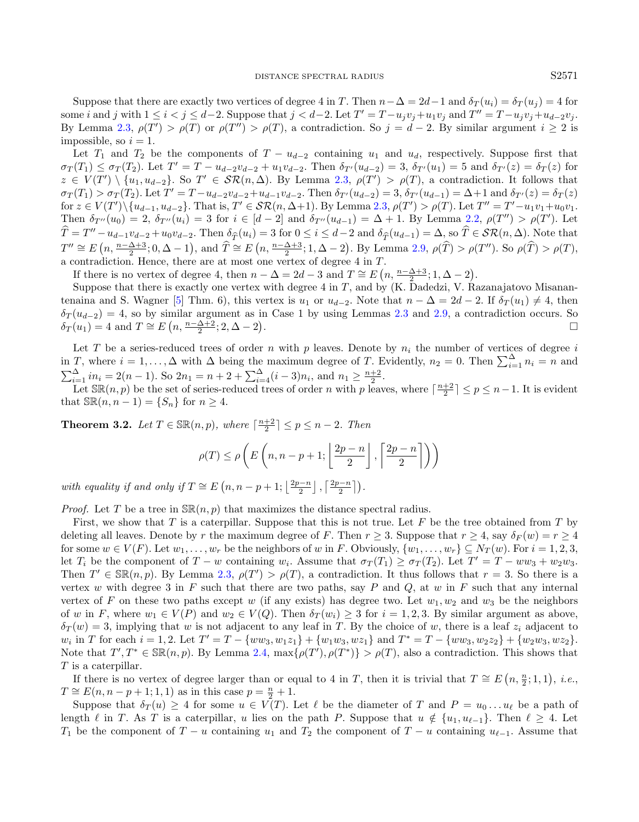Suppose that there are exactly two vertices of degree 4 in T. Then  $n-\Delta = 2d-1$  and  $\delta_T(u_i) = \delta_T(u_j) = 4$  for some i and j with  $1 \le i < j \le d-2$ . Suppose that  $j < d-2$ . Let  $T' = T - u_jv_j + u_1v_j$  and  $T'' = T - u_jv_j + u_{d-2}v_j$ . By Lemma [2.3,](#page-2-3)  $\rho(T') > \rho(T)$  or  $\rho(T'') > \rho(T)$ , a contradiction. So  $j = d - 2$ . By similar argument  $i \geq 2$  is impossible, so  $i = 1$ .

Let  $T_1$  and  $T_2$  be the components of  $T - u_{d-2}$  containing  $u_1$  and  $u_d$ , respectively. Suppose first that  $\sigma_T(T_1) \leq \sigma_T(T_2)$ . Let  $T' = T - u_{d-2}v_{d-2} + u_1v_{d-2}$ . Then  $\delta_{T'}(u_{d-2}) = 3$ ,  $\delta_{T'}(u_1) = 5$  and  $\delta_{T'}(z) = \delta_T(z)$  for  $z \in V(T') \setminus \{u_1, u_{d-2}\}.$  So  $T' \in \mathcal{SR}(n, \Delta)$ . By Lemma [2.3,](#page-2-3)  $\rho(T') > \rho(T)$ , a contradiction. It follows that  $\sigma_T(T_1) > \sigma_T(T_2)$ . Let  $T' = T - u_{d-2}v_{d-2} + u_{d-1}v_{d-2}$ . Then  $\delta_{T'}(u_{d-2}) = 3$ ,  $\delta_{T'}(u_{d-1}) = \Delta + 1$  and  $\delta_{T'}(z) = \delta_T(z)$ for  $z \in V(T') \setminus \{u_{d-1}, u_{d-2}\}$ . That is,  $T' \in \mathcal{SR}(n, \Delta+1)$ . By Lemma [2.3,](#page-2-3)  $\rho(T') > \rho(T)$ . Let  $T'' = T' - u_1v_1 + u_0v_1$ . Then  $\delta_{T''}(u_0) = 2$ ,  $\delta_{T''}(u_i) = 3$  for  $i \in [d-2]$  and  $\delta_{T''}(u_{d-1}) = \Delta + 1$ . By Lemma [2.2,](#page-2-4)  $\rho(T'') > \rho(T')$ . Let  $\widehat{T} = T'' - u_{d-1}v_{d-2} + u_0v_{d-2}$ . Then  $\delta_{\widehat{T}}(u_i) = 3$  for  $0 \le i \le d-2$  and  $\delta_{\widehat{T}}(u_{d-1}) = \Delta$ , so  $\widehat{T} \in \mathcal{SR}(n, \Delta)$ . Note that  $T'' \cong E\left(n, \frac{n-\Delta+3}{2}; 0, \Delta-1\right)$ , and  $\widehat{T} \cong E\left(n, \frac{n-\Delta+3}{2}; 1, \Delta-2\right)$ . By Lemma [2.9,](#page-5-4)  $\rho(\widehat{T}) > \rho(T'')$ . So  $\rho(\widehat{T}) > \rho(T)$ , a contradiction. Hence, there are at most one vertex of degree 4 in T.

If there is no vertex of degree 4, then  $n - \Delta = 2d - 3$  and  $T \cong E(n, \frac{n-\Delta+3}{2}; 1, \Delta-2)$ .

Suppose that there is exactly one vertex with degree  $4$  in  $T$ , and by (K. Dadedzi, V. Razanajatovo Misanan-tenaina and S. Wagner [\[5\]](#page-12-7) Thm. 6), this vertex is  $u_1$  or  $u_{d-2}$ . Note that  $n - \Delta = 2d - 2$ . If  $\delta_T(u_1) \neq 4$ , then  $\delta_T(u_{d-2}) = 4$ , so by similar argument as in Case 1 by using Lemmas [2.3](#page-2-3) and [2.9,](#page-5-4) a contradiction occurs. So  $\delta_T(u_1) = 4$  and  $T \cong E\left(n, \frac{n-\Delta+2}{2}; 2, \Delta-2\right)$ .

Let T be a series-reduced trees of order n with p leaves. Denote by  $n_i$  the number of vertices of degree i in T, where  $i = 1, ..., \Delta$  with  $\Delta$  being the maximum degree of T. Evidently,  $n_2 = 0$ . Then  $\sum_{i=1}^{\Delta} n_i = n$  and  $\sum_{i=1}^{A} in_i = 2(n-1)$ . So  $2n_1 = n+2+\sum_{i=4}^{A} (i-3)n_i$ , and  $n_1 \geq \frac{n+2}{2}$ .

Let  $\mathbb{SR}(n, p)$  be the set of series-reduced trees of order n with p leaves, where  $\lceil \frac{n+2}{2} \rceil \leq p \leq n-1$ . It is evident that  $\mathbb{SR}(n, n-1) = \{S_n\}$  for  $n \geq 4$ .

<span id="page-10-0"></span>**Theorem 3.2.** Let  $T \in \mathbb{SR}(n, p)$ , where  $\lceil \frac{n+2}{2} \rceil \leq p \leq n-2$ . Then

$$
\rho(T) \le \rho\left(E\left(n, n-p+1; \left\lfloor \frac{2p-n}{2} \right\rfloor, \left\lceil \frac{2p-n}{2} \right\rceil\right)\right)
$$

with equality if and only if  $T \cong E(n, n-p+1; \lfloor \frac{2p-n}{2} \rfloor, \lceil \frac{2p-n}{2} \rceil)$ .

*Proof.* Let T be a tree in  $\mathbb{SR}(n, p)$  that maximizes the distance spectral radius.

First, we show that T is a caterpillar. Suppose that this is not true. Let F be the tree obtained from T by deleting all leaves. Denote by r the maximum degree of F. Then  $r \geq 3$ . Suppose that  $r \geq 4$ , say  $\delta_F(w) = r \geq 4$ for some  $w \in V(F)$ . Let  $w_1, \ldots, w_r$  be the neighbors of w in F. Obviously,  $\{w_1, \ldots, w_r\} \subseteq N_T(w)$ . For  $i = 1, 2, 3$ , let  $T_i$  be the component of  $T - w$  containing  $w_i$ . Assume that  $\sigma_T(T_1) \geq \sigma_T(T_2)$ . Let  $T' = T - ww_3 + w_2w_3$ . Then  $T' \in \mathbb{SR}(n, p)$ . By Lemma [2.3,](#page-2-3)  $\rho(T') > \rho(T)$ , a contradiction. It thus follows that  $r = 3$ . So there is a vertex w with degree 3 in  $F$  such that there are two paths, say  $P$  and  $Q$ , at w in  $F$  such that any internal vertex of F on these two paths except w (if any exists) has degree two. Let  $w_1, w_2$  and  $w_3$  be the neighbors of w in F, where  $w_1 \in V(P)$  and  $w_2 \in V(Q)$ . Then  $\delta_T(w_i) \geq 3$  for  $i = 1, 2, 3$ . By similar argument as above,  $\delta_T(w) = 3$ , implying that w is not adjacent to any leaf in T. By the choice of w, there is a leaf  $z_i$  adjacent to  $w_i$  in T for each  $i = 1, 2$ . Let  $T' = T - \{ww_3, w_1z_1\} + \{w_1w_3, wz_1\}$  and  $T^* = T - \{ww_3, w_2z_2\} + \{w_2w_3, wz_2\}$ . Note that  $T', T^* \in \mathbb{SR}(n, p)$ . By Lemma [2.4,](#page-2-0)  $\max\{\rho(T'), \rho(T^*)\} > \rho(T)$ , also a contradiction. This shows that T is a caterpillar.

If there is no vertex of degree larger than or equal to 4 in T, then it is trivial that  $T \cong E(n, \frac{n}{2}; 1, 1), i.e.,$  $T \cong E(n, n-p+1; 1, 1)$  as in this case  $p = \frac{n}{2} + 1$ .

Suppose that  $\delta_T(u) \geq 4$  for some  $u \in V(T)$ . Let  $\ell$  be the diameter of T and  $P = u_0 \ldots u_\ell$  be a path of length  $\ell$  in T. As T is a caterpillar, u lies on the path P. Suppose that  $u \notin \{u_1, u_{\ell-1}\}.$  Then  $\ell \geq 4$ . Let  $T_1$  be the component of  $T - u$  containing  $u_1$  and  $T_2$  the component of  $T - u$  containing  $u_{\ell-1}$ . Assume that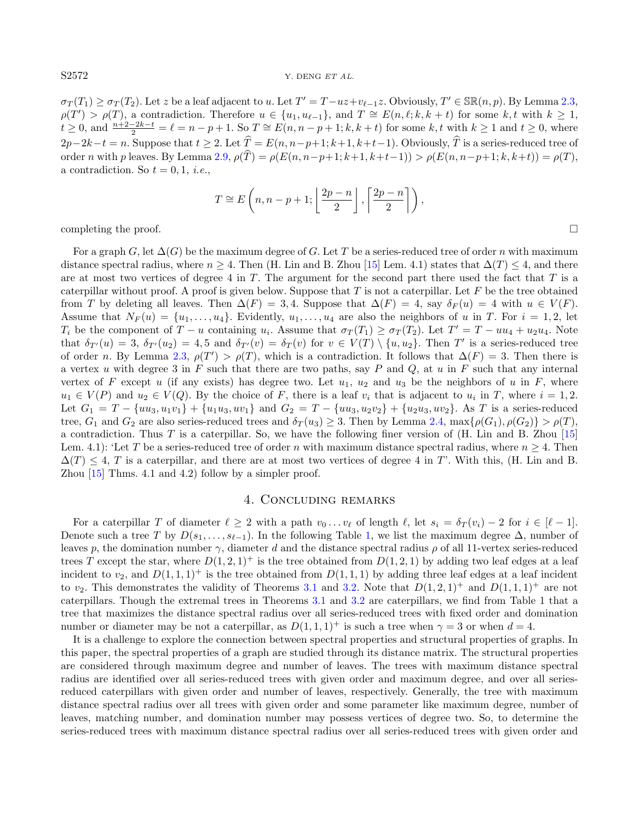$\sigma_T(T_1) \geq \sigma_T(T_2)$ . Let z be a leaf adjacent to u. Let  $T' = T - uz + v_{\ell-1}z$ . Obviously,  $T' \in \mathbb{SR}(n, p)$ . By Lemma [2.3,](#page-2-3)  $\rho(T') > \rho(T)$ , a contradiction. Therefore  $u \in \{u_1, u_{\ell-1}\}\$ , and  $T \cong E(n, \ell; k, k+t)$  for some k, t with  $k \geq 1$ ,  $t \geq 0$ , and  $\frac{n+2-2k-t}{2} = \ell = n-p+1$ . So  $T \cong E(n, n-p+1; k, k+t)$  for some k, t with  $k \geq 1$  and  $t \geq 0$ , where  $2p-2k-t = n$ . Suppose that  $t \geq 2$ . Let  $\widehat{T} = E(n, n-p+1; k+1, k+t-1)$ . Obviously,  $\widehat{T}$  is a series-reduced tree of order n with p leaves. By Lemma [2.9,](#page-5-4)  $\rho(\widehat{T}) = \rho(E(n, n-p+1; k+1, k+t-1)) > \rho(E(n, n-p+1; k, k+t)) = \rho(T)$ , a contradiction. So  $t = 0, 1, i.e.,$ 

$$
T \cong E\left(n, n-p+1; \left\lfloor \frac{2p-n}{2} \right\rfloor, \left\lceil \frac{2p-n}{2} \right\rceil \right),\,
$$

completing the proof.

For a graph G, let  $\Delta(G)$  be the maximum degree of G. Let T be a series-reduced tree of order n with maximum distance spectral radius, where  $n \geq 4$ . Then (H. Lin and B. Zhou [\[15\]](#page-13-5) Lem. 4.1) states that  $\Delta(T) \leq 4$ , and there are at most two vertices of degree 4 in  $T$ . The argument for the second part there used the fact that  $T$  is a caterpillar without proof. A proof is given below. Suppose that  $T$  is not a caterpillar. Let  $F$  be the tree obtained from T by deleting all leaves. Then  $\Delta(F) = 3, 4$ . Suppose that  $\Delta(F) = 4$ , say  $\delta_F(u) = 4$  with  $u \in V(F)$ . Assume that  $N_F(u) = \{u_1, \ldots, u_4\}$ . Evidently,  $u_1, \ldots, u_4$  are also the neighbors of u in T. For  $i = 1, 2$ , let  $T_i$  be the component of  $T - u$  containing  $u_i$ . Assume that  $\sigma_T(T_1) \geq \sigma_T(T_2)$ . Let  $T' = T - uu_4 + u_2u_4$ . Note that  $\delta_{T}(u) = 3$ ,  $\delta_{T}(u_2) = 4, 5$  and  $\delta_{T}(v) = \delta_T(v)$  for  $v \in V(T) \setminus \{u, u_2\}$ . Then T' is a series-reduced tree of order n. By Lemma [2.3,](#page-2-3)  $\rho(T') > \rho(T)$ , which is a contradiction. It follows that  $\Delta(F) = 3$ . Then there is a vertex u with degree 3 in F such that there are two paths, say P and Q, at u in F such that any internal vertex of F except u (if any exists) has degree two. Let  $u_1, u_2$  and  $u_3$  be the neighbors of u in F, where  $u_1 \in V(P)$  and  $u_2 \in V(Q)$ . By the choice of F, there is a leaf  $v_i$  that is adjacent to  $u_i$  in T, where  $i = 1, 2$ . Let  $G_1 = T - \{uu_3, u_1v_1\} + \{u_1u_3, uv_1\}$  and  $G_2 = T - \{uu_3, u_2v_2\} + \{u_2u_3, uv_2\}$ . As T is a series-reduced tree,  $G_1$  and  $G_2$  are also series-reduced trees and  $\delta_T(u_3) \geq 3$ . Then by Lemma [2.4,](#page-2-0) max $\{\rho(G_1), \rho(G_2)\} > \rho(T)$ , a contradiction. Thus T is a caterpillar. So, we have the following finer version of (H. Lin and B. Zhou [\[15\]](#page-13-5) Lem. 4.1): 'Let T be a series-reduced tree of order n with maximum distance spectral radius, where  $n \geq 4$ . Then  $\Delta(T) \leq 4$ , T is a caterpillar, and there are at most two vertices of degree 4 in T'. With this, (H. Lin and B. Zhou [\[15\]](#page-13-5) Thms. 4.1 and 4.2) follow by a simpler proof.

#### 4. Concluding remarks

For a caterpillar T of diameter  $\ell \geq 2$  with a path  $v_0 \dots v_\ell$  of length  $\ell$ , let  $s_i = \delta_T (v_i) - 2$  for  $i \in [\ell - 1]$ . Denote such a tree T by  $D(s_1, \ldots, s_{\ell-1})$  $D(s_1, \ldots, s_{\ell-1})$  $D(s_1, \ldots, s_{\ell-1})$ . In the following Table 1, we list the maximum degree  $\Delta$ , number of leaves p, the domination number  $\gamma$ , diameter d and the distance spectral radius  $\rho$  of all 11-vertex series-reduced trees T except the star, where  $D(1, 2, 1)^+$  is the tree obtained from  $D(1, 2, 1)$  by adding two leaf edges at a leaf incident to  $v_2$ , and  $D(1,1,1)^+$  is the tree obtained from  $D(1,1,1)$  by adding three leaf edges at a leaf incident to  $v_2$ . This demonstrates the validity of Theorems [3.1](#page-8-1) and [3.2.](#page-10-0) Note that  $D(1, 2, 1)^+$  and  $D(1, 1, 1)^+$  are not caterpillars. Though the extremal trees in Theorems [3.1](#page-8-1) and [3.2](#page-10-0) are caterpillars, we find from Table 1 that a tree that maximizes the distance spectral radius over all series-reduced trees with fixed order and domination number or diameter may be not a caterpillar, as  $D(1,1,1)^+$  is such a tree when  $\gamma = 3$  or when  $d = 4$ .

It is a challenge to explore the connection between spectral properties and structural properties of graphs. In this paper, the spectral properties of a graph are studied through its distance matrix. The structural properties are considered through maximum degree and number of leaves. The trees with maximum distance spectral radius are identified over all series-reduced trees with given order and maximum degree, and over all seriesreduced caterpillars with given order and number of leaves, respectively. Generally, the tree with maximum distance spectral radius over all trees with given order and some parameter like maximum degree, number of leaves, matching number, and domination number may possess vertices of degree two. So, to determine the series-reduced trees with maximum distance spectral radius over all series-reduced trees with given order and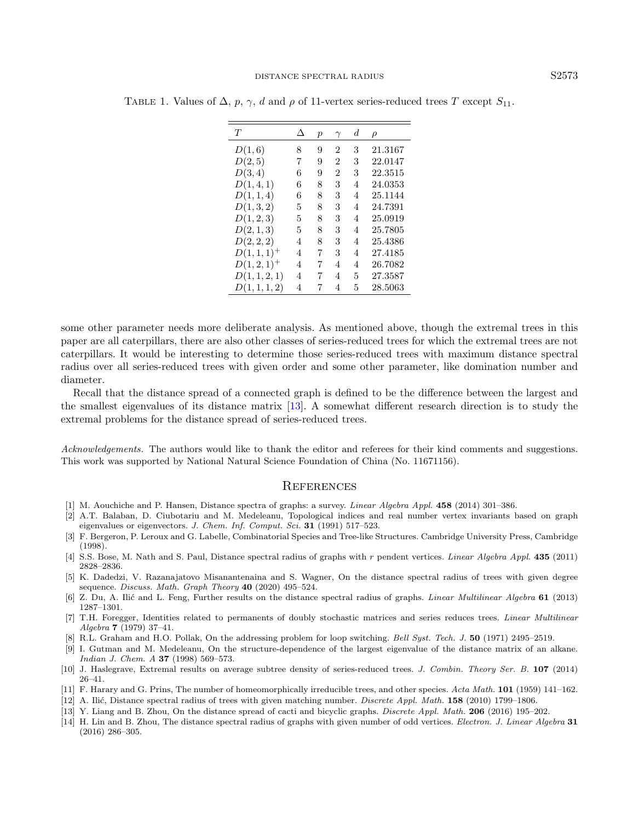| T             | Л | р | $\gamma$       | d | ρ       |
|---------------|---|---|----------------|---|---------|
| D(1,6)        | 8 | 9 | $\overline{2}$ | 3 | 21.3167 |
| D(2,5)        | 7 | 9 | $\overline{2}$ | 3 | 22.0147 |
| D(3,4)        | 6 | 9 | $\overline{2}$ | 3 | 22.3515 |
| D(1,4,1)      | 6 | 8 | 3              | 4 | 24.0353 |
| D(1,1,4)      | 6 | 8 | 3              | 4 | 25.1144 |
| D(1,3,2)      | 5 | 8 | 3              | 4 | 24.7391 |
| D(1, 2, 3)    | 5 | 8 | 3              | 4 | 25.0919 |
| D(2,1,3)      | 5 | 8 | 3              | 4 | 25.7805 |
| D(2, 2, 2)    | 4 | 8 | 3              | 4 | 25.4386 |
| $D(1,1,1)^+$  | 4 | 7 | 3              | 4 | 27.4185 |
| $D(1,2,1)^+$  | 4 | 7 | 4              | 4 | 26.7082 |
| D(1, 1, 2, 1) | 4 | 7 | 4              | 5 | 27.3587 |
| D(1, 1, 1, 2) | 4 | 7 | 4              | 5 | 28.5063 |

<span id="page-12-13"></span>TABLE 1. Values of  $\Delta$ , p,  $\gamma$ , d and  $\rho$  of 11-vertex series-reduced trees T except  $S_{11}$ .

<span id="page-12-3"></span>some other parameter needs more deliberate analysis. As mentioned above, though the extremal trees in this paper are all caterpillars, there are also other classes of series-reduced trees for which the extremal trees are not caterpillars. It would be interesting to determine those series-reduced trees with maximum distance spectral radius over all series-reduced trees with given order and some other parameter, like domination number and diameter.

<span id="page-12-12"></span><span id="page-12-9"></span><span id="page-12-1"></span>Recall that the distance spread of a connected graph is defined to be the difference between the largest and the smallest eigenvalues of its distance matrix [\[13\]](#page-12-14). A somewhat different research direction is to study the extremal problems for the distance spread of series-reduced trees.

<span id="page-12-10"></span><span id="page-12-7"></span><span id="page-12-5"></span>Acknowledgements. The authors would like to thank the editor and referees for their kind comments and suggestions. This work was supported by National Natural Science Foundation of China (No. 11671156).

#### **REFERENCES**

- <span id="page-12-2"></span><span id="page-12-0"></span>[1] M. Aouchiche and P. Hansen, Distance spectra of graphs: a survey. Linear Algebra Appl. 458 (2014) 301–386.
- <span id="page-12-11"></span>[2] A.T. Balaban, D. Ciubotariu and M. Medeleanu, Topological indices and real number vertex invariants based on graph eigenvalues or eigenvectors. J. Chem. Inf. Comput. Sci. 31 (1991) 517–523.
- <span id="page-12-8"></span>[3] F. Bergeron, P. Leroux and G. Labelle, Combinatorial Species and Tree-like Structures. Cambridge University Press, Cambridge (1998).
- <span id="page-12-14"></span><span id="page-12-4"></span>[4] S.S. Bose, M. Nath and S. Paul, Distance spectral radius of graphs with r pendent vertices. Linear Algebra Appl. 435 (2011) 2828–2836.
- <span id="page-12-6"></span>[5] K. Dadedzi, V. Razanajatovo Misanantenaina and S. Wagner, On the distance spectral radius of trees with given degree sequence. Discuss. Math. Graph Theory 40 (2020) 495-524.
- [6] Z. Du, A. Ilić and L. Feng, Further results on the distance spectral radius of graphs. Linear Multilinear Algebra 61 (2013) 1287–1301.
- [7] T.H. Foregger, Identities related to permanents of doubly stochastic matrices and series reduces trees. *Linear Multilinear* Algebra 7 (1979) 37–41.
- [8] R.L. Graham and H.O. Pollak, On the addressing problem for loop switching. Bell Syst. Tech. J. 50 (1971) 2495–2519.
- [9] I. Gutman and M. Medeleanu, On the structure-dependence of the largest eigenvalue of the distance matrix of an alkane. Indian J. Chem. A **37** (1998) 569–573.
- [10] J. Haslegrave, Extremal results on average subtree density of series-reduced trees. J. Combin. Theory Ser. B. 107 (2014) 26–41.
- [11] F. Harary and G. Prins, The number of homeomorphically irreducible trees, and other species. Acta Math. 101 (1959) 141–162.
- [12] A. Ilić, Distance spectral radius of trees with given matching number. Discrete Appl. Math. 158 (2010) 1799–1806.
- [13] Y. Liang and B. Zhou, On the distance spread of cacti and bicyclic graphs. Discrete Appl. Math. 206 (2016) 195–202.
- [14] H. Lin and B. Zhou, The distance spectral radius of graphs with given number of odd vertices. Electron. J. Linear Algebra 31 (2016) 286–305.